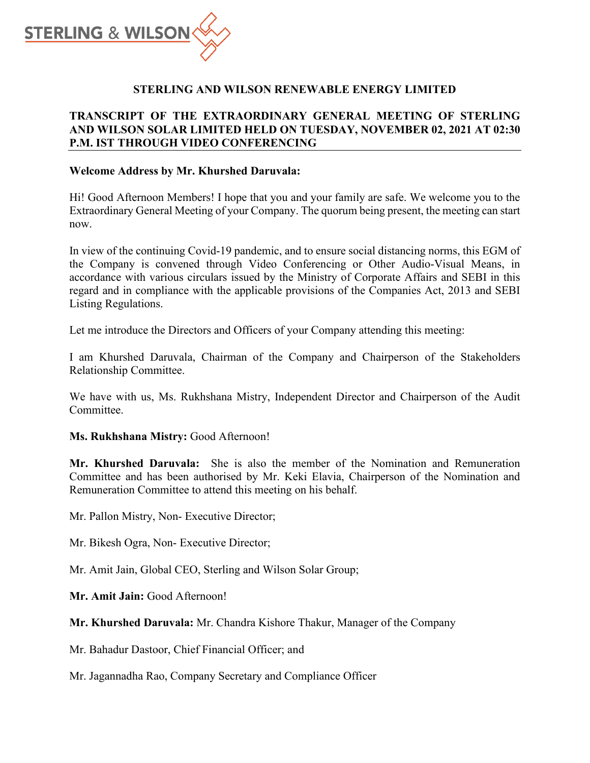

# **STERLING AND WILSON RENEWABLE ENERGY LIMITED**

# **TRANSCRIPT OF THE EXTRAORDINARY GENERAL MEETING OF STERLING AND WILSON SOLAR LIMITED HELD ON TUESDAY, NOVEMBER 02, 2021 AT 02:30 P.M. IST THROUGH VIDEO CONFERENCING**

#### **Welcome Address by Mr. Khurshed Daruvala:**

Hi! Good Afternoon Members! I hope that you and your family are safe. We welcome you to the Extraordinary General Meeting of your Company. The quorum being present, the meeting can start now.

In view of the continuing Covid-19 pandemic, and to ensure social distancing norms, this EGM of the Company is convened through Video Conferencing or Other Audio-Visual Means, in accordance with various circulars issued by the Ministry of Corporate Affairs and SEBI in this regard and in compliance with the applicable provisions of the Companies Act, 2013 and SEBI Listing Regulations.

Let me introduce the Directors and Officers of your Company attending this meeting:

I am Khurshed Daruvala, Chairman of the Company and Chairperson of the Stakeholders Relationship Committee.

We have with us, Ms. Rukhshana Mistry, Independent Director and Chairperson of the Audit Committee.

## **Ms. Rukhshana Mistry:** Good Afternoon!

**Mr. Khurshed Daruvala:** She is also the member of the Nomination and Remuneration Committee and has been authorised by Mr. Keki Elavia, Chairperson of the Nomination and Remuneration Committee to attend this meeting on his behalf.

Mr. Pallon Mistry, Non- Executive Director;

Mr. Bikesh Ogra, Non- Executive Director;

Mr. Amit Jain, Global CEO, Sterling and Wilson Solar Group;

**Mr. Amit Jain:** Good Afternoon!

**Mr. Khurshed Daruvala:** Mr. Chandra Kishore Thakur, Manager of the Company

Mr. Bahadur Dastoor, Chief Financial Officer; and

Mr. Jagannadha Rao, Company Secretary and Compliance Officer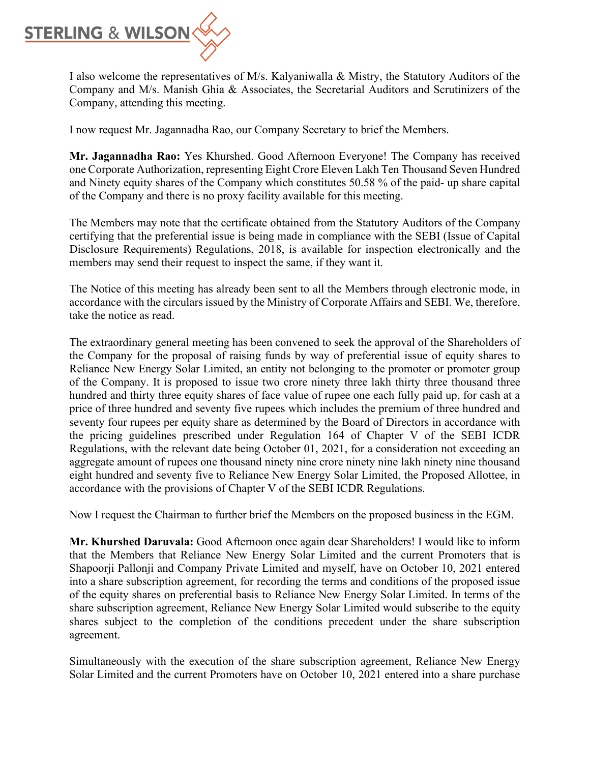

I also welcome the representatives of M/s. Kalyaniwalla & Mistry, the Statutory Auditors of the Company and M/s. Manish Ghia & Associates, the Secretarial Auditors and Scrutinizers of the Company, attending this meeting.

I now request Mr. Jagannadha Rao, our Company Secretary to brief the Members.

**Mr. Jagannadha Rao:** Yes Khurshed. Good Afternoon Everyone! The Company has received one Corporate Authorization, representing Eight Crore Eleven Lakh Ten Thousand Seven Hundred and Ninety equity shares of the Company which constitutes 50.58 % of the paid- up share capital of the Company and there is no proxy facility available for this meeting.

The Members may note that the certificate obtained from the Statutory Auditors of the Company certifying that the preferential issue is being made in compliance with the SEBI (Issue of Capital Disclosure Requirements) Regulations, 2018, is available for inspection electronically and the members may send their request to inspect the same, if they want it.

The Notice of this meeting has already been sent to all the Members through electronic mode, in accordance with the circulars issued by the Ministry of Corporate Affairs and SEBI. We, therefore, take the notice as read.

The extraordinary general meeting has been convened to seek the approval of the Shareholders of the Company for the proposal of raising funds by way of preferential issue of equity shares to Reliance New Energy Solar Limited, an entity not belonging to the promoter or promoter group of the Company. It is proposed to issue two crore ninety three lakh thirty three thousand three hundred and thirty three equity shares of face value of rupee one each fully paid up, for cash at a price of three hundred and seventy five rupees which includes the premium of three hundred and seventy four rupees per equity share as determined by the Board of Directors in accordance with the pricing guidelines prescribed under Regulation 164 of Chapter V of the SEBI ICDR Regulations, with the relevant date being October 01, 2021, for a consideration not exceeding an aggregate amount of rupees one thousand ninety nine crore ninety nine lakh ninety nine thousand eight hundred and seventy five to Reliance New Energy Solar Limited, the Proposed Allottee, in accordance with the provisions of Chapter V of the SEBI ICDR Regulations.

Now I request the Chairman to further brief the Members on the proposed business in the EGM.

**Mr. Khurshed Daruvala:** Good Afternoon once again dear Shareholders! I would like to inform that the Members that Reliance New Energy Solar Limited and the current Promoters that is Shapoorji Pallonji and Company Private Limited and myself, have on October 10, 2021 entered into a share subscription agreement, for recording the terms and conditions of the proposed issue of the equity shares on preferential basis to Reliance New Energy Solar Limited. In terms of the share subscription agreement, Reliance New Energy Solar Limited would subscribe to the equity shares subject to the completion of the conditions precedent under the share subscription agreement.

Simultaneously with the execution of the share subscription agreement, Reliance New Energy Solar Limited and the current Promoters have on October 10, 2021 entered into a share purchase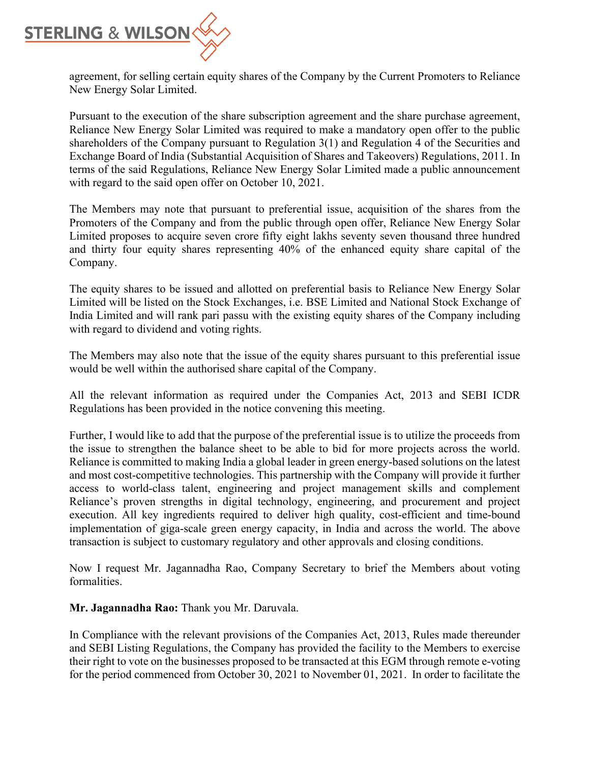

agreement, for selling certain equity shares of the Company by the Current Promoters to Reliance New Energy Solar Limited.

Pursuant to the execution of the share subscription agreement and the share purchase agreement, Reliance New Energy Solar Limited was required to make a mandatory open offer to the public shareholders of the Company pursuant to Regulation 3(1) and Regulation 4 of the Securities and Exchange Board of India (Substantial Acquisition of Shares and Takeovers) Regulations, 2011. In terms of the said Regulations, Reliance New Energy Solar Limited made a public announcement with regard to the said open offer on October 10, 2021.

The Members may note that pursuant to preferential issue, acquisition of the shares from the Promoters of the Company and from the public through open offer, Reliance New Energy Solar Limited proposes to acquire seven crore fifty eight lakhs seventy seven thousand three hundred and thirty four equity shares representing 40% of the enhanced equity share capital of the Company.

The equity shares to be issued and allotted on preferential basis to Reliance New Energy Solar Limited will be listed on the Stock Exchanges, i.e. BSE Limited and National Stock Exchange of India Limited and will rank pari passu with the existing equity shares of the Company including with regard to dividend and voting rights.

The Members may also note that the issue of the equity shares pursuant to this preferential issue would be well within the authorised share capital of the Company.

All the relevant information as required under the Companies Act, 2013 and SEBI ICDR Regulations has been provided in the notice convening this meeting.

Further, I would like to add that the purpose of the preferential issue is to utilize the proceeds from the issue to strengthen the balance sheet to be able to bid for more projects across the world. Reliance is committed to making India a global leader in green energy-based solutions on the latest and most cost-competitive technologies. This partnership with the Company will provide it further access to world-class talent, engineering and project management skills and complement Reliance's proven strengths in digital technology, engineering, and procurement and project execution. All key ingredients required to deliver high quality, cost-efficient and time-bound implementation of giga-scale green energy capacity, in India and across the world. The above transaction is subject to customary regulatory and other approvals and closing conditions.

Now I request Mr. Jagannadha Rao, Company Secretary to brief the Members about voting formalities.

**Mr. Jagannadha Rao:** Thank you Mr. Daruvala.

In Compliance with the relevant provisions of the Companies Act, 2013, Rules made thereunder and SEBI Listing Regulations, the Company has provided the facility to the Members to exercise their right to vote on the businesses proposed to be transacted at this EGM through remote e-voting for the period commenced from October 30, 2021 to November 01, 2021. In order to facilitate the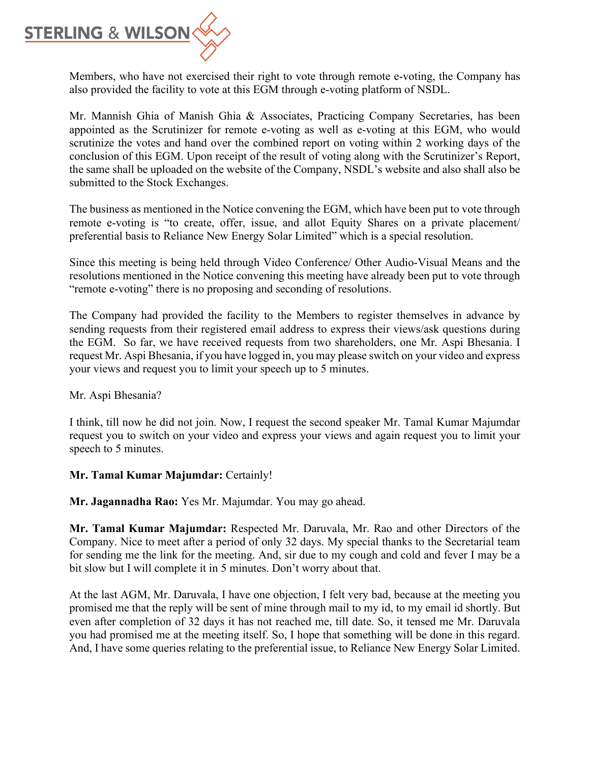

Members, who have not exercised their right to vote through remote e-voting, the Company has also provided the facility to vote at this EGM through e-voting platform of NSDL.

Mr. Mannish Ghia of Manish Ghia & Associates, Practicing Company Secretaries, has been appointed as the Scrutinizer for remote e-voting as well as e-voting at this EGM, who would scrutinize the votes and hand over the combined report on voting within 2 working days of the conclusion of this EGM. Upon receipt of the result of voting along with the Scrutinizer's Report, the same shall be uploaded on the website of the Company, NSDL's website and also shall also be submitted to the Stock Exchanges.

The business as mentioned in the Notice convening the EGM, which have been put to vote through remote e-voting is "to create, offer, issue, and allot Equity Shares on a private placement/ preferential basis to Reliance New Energy Solar Limited" which is a special resolution.

Since this meeting is being held through Video Conference/ Other Audio-Visual Means and the resolutions mentioned in the Notice convening this meeting have already been put to vote through "remote e-voting" there is no proposing and seconding of resolutions.

The Company had provided the facility to the Members to register themselves in advance by sending requests from their registered email address to express their views/ask questions during the EGM. So far, we have received requests from two shareholders, one Mr. Aspi Bhesania. I request Mr. Aspi Bhesania, if you have logged in, you may please switch on your video and express your views and request you to limit your speech up to 5 minutes.

Mr. Aspi Bhesania?

I think, till now he did not join. Now, I request the second speaker Mr. Tamal Kumar Majumdar request you to switch on your video and express your views and again request you to limit your speech to 5 minutes.

## **Mr. Tamal Kumar Majumdar:** Certainly!

**Mr. Jagannadha Rao:** Yes Mr. Majumdar. You may go ahead.

**Mr. Tamal Kumar Majumdar:** Respected Mr. Daruvala, Mr. Rao and other Directors of the Company. Nice to meet after a period of only 32 days. My special thanks to the Secretarial team for sending me the link for the meeting. And, sir due to my cough and cold and fever I may be a bit slow but I will complete it in 5 minutes. Don't worry about that.

At the last AGM, Mr. Daruvala, I have one objection, I felt very bad, because at the meeting you promised me that the reply will be sent of mine through mail to my id, to my email id shortly. But even after completion of 32 days it has not reached me, till date. So, it tensed me Mr. Daruvala you had promised me at the meeting itself. So, I hope that something will be done in this regard. And, I have some queries relating to the preferential issue, to Reliance New Energy Solar Limited.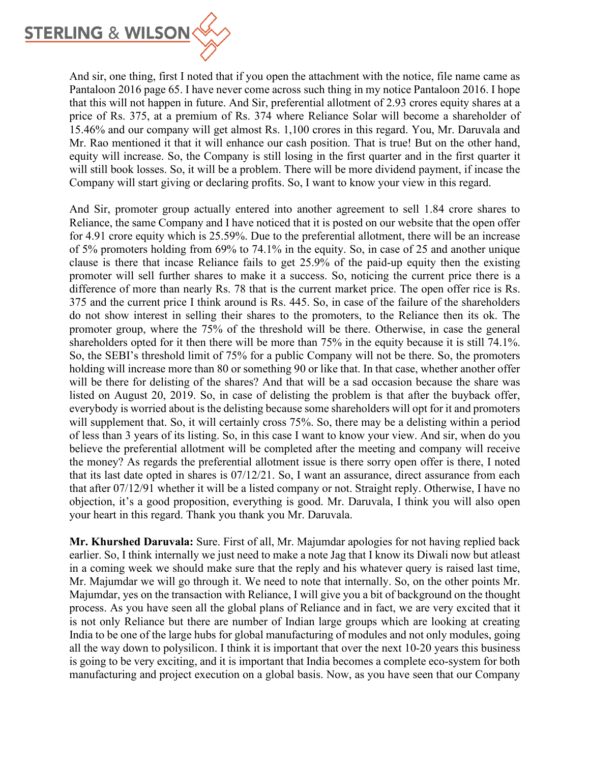

And sir, one thing, first I noted that if you open the attachment with the notice, file name came as Pantaloon 2016 page 65. I have never come across such thing in my notice Pantaloon 2016. I hope that this will not happen in future. And Sir, preferential allotment of 2.93 crores equity shares at a price of Rs. 375, at a premium of Rs. 374 where Reliance Solar will become a shareholder of 15.46% and our company will get almost Rs. 1,100 crores in this regard. You, Mr. Daruvala and Mr. Rao mentioned it that it will enhance our cash position. That is true! But on the other hand, equity will increase. So, the Company is still losing in the first quarter and in the first quarter it will still book losses. So, it will be a problem. There will be more dividend payment, if incase the Company will start giving or declaring profits. So, I want to know your view in this regard.

And Sir, promoter group actually entered into another agreement to sell 1.84 crore shares to Reliance, the same Company and I have noticed that it is posted on our website that the open offer for 4.91 crore equity which is 25.59%. Due to the preferential allotment, there will be an increase of 5% promoters holding from 69% to 74.1% in the equity. So, in case of 25 and another unique clause is there that incase Reliance fails to get 25.9% of the paid-up equity then the existing promoter will sell further shares to make it a success. So, noticing the current price there is a difference of more than nearly Rs. 78 that is the current market price. The open offer rice is Rs. 375 and the current price I think around is Rs. 445. So, in case of the failure of the shareholders do not show interest in selling their shares to the promoters, to the Reliance then its ok. The promoter group, where the 75% of the threshold will be there. Otherwise, in case the general shareholders opted for it then there will be more than 75% in the equity because it is still 74.1%. So, the SEBI's threshold limit of 75% for a public Company will not be there. So, the promoters holding will increase more than 80 or something 90 or like that. In that case, whether another offer will be there for delisting of the shares? And that will be a sad occasion because the share was listed on August 20, 2019. So, in case of delisting the problem is that after the buyback offer, everybody is worried about is the delisting because some shareholders will opt for it and promoters will supplement that. So, it will certainly cross 75%. So, there may be a delisting within a period of less than 3 years of its listing. So, in this case I want to know your view. And sir, when do you believe the preferential allotment will be completed after the meeting and company will receive the money? As regards the preferential allotment issue is there sorry open offer is there, I noted that its last date opted in shares is  $07/12/21$ . So, I want an assurance, direct assurance from each that after 07/12/91 whether it will be a listed company or not. Straight reply. Otherwise, I have no objection, it's a good proposition, everything is good. Mr. Daruvala, I think you will also open your heart in this regard. Thank you thank you Mr. Daruvala.

**Mr. Khurshed Daruvala:** Sure. First of all, Mr. Majumdar apologies for not having replied back earlier. So, I think internally we just need to make a note Jag that I know its Diwali now but atleast in a coming week we should make sure that the reply and his whatever query is raised last time, Mr. Majumdar we will go through it. We need to note that internally. So, on the other points Mr. Majumdar, yes on the transaction with Reliance, I will give you a bit of background on the thought process. As you have seen all the global plans of Reliance and in fact, we are very excited that it is not only Reliance but there are number of Indian large groups which are looking at creating India to be one of the large hubs for global manufacturing of modules and not only modules, going all the way down to polysilicon. I think it is important that over the next 10-20 years this business is going to be very exciting, and it is important that India becomes a complete eco-system for both manufacturing and project execution on a global basis. Now, as you have seen that our Company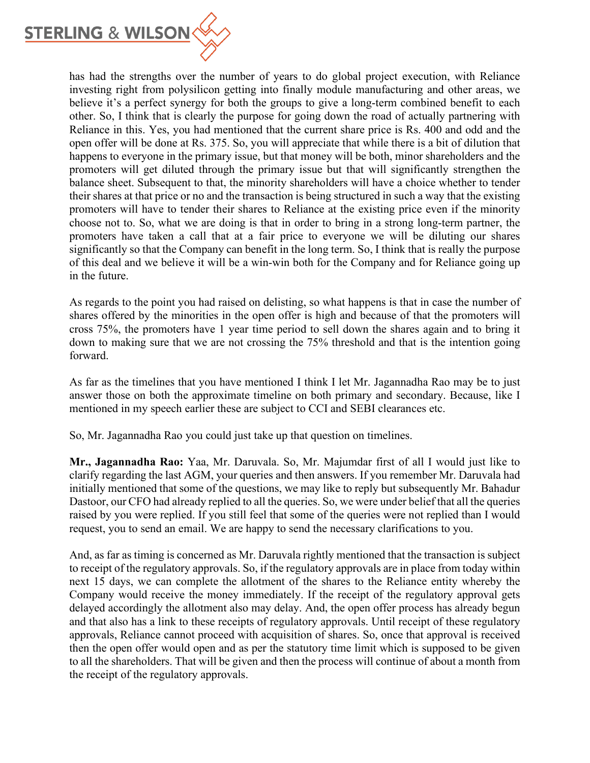

has had the strengths over the number of years to do global project execution, with Reliance investing right from polysilicon getting into finally module manufacturing and other areas, we believe it's a perfect synergy for both the groups to give a long-term combined benefit to each other. So, I think that is clearly the purpose for going down the road of actually partnering with Reliance in this. Yes, you had mentioned that the current share price is Rs. 400 and odd and the open offer will be done at Rs. 375. So, you will appreciate that while there is a bit of dilution that happens to everyone in the primary issue, but that money will be both, minor shareholders and the promoters will get diluted through the primary issue but that will significantly strengthen the balance sheet. Subsequent to that, the minority shareholders will have a choice whether to tender their shares at that price or no and the transaction is being structured in such a way that the existing promoters will have to tender their shares to Reliance at the existing price even if the minority choose not to. So, what we are doing is that in order to bring in a strong long-term partner, the promoters have taken a call that at a fair price to everyone we will be diluting our shares significantly so that the Company can benefit in the long term. So, I think that is really the purpose of this deal and we believe it will be a win-win both for the Company and for Reliance going up in the future.

As regards to the point you had raised on delisting, so what happens is that in case the number of shares offered by the minorities in the open offer is high and because of that the promoters will cross 75%, the promoters have 1 year time period to sell down the shares again and to bring it down to making sure that we are not crossing the 75% threshold and that is the intention going forward.

As far as the timelines that you have mentioned I think I let Mr. Jagannadha Rao may be to just answer those on both the approximate timeline on both primary and secondary. Because, like I mentioned in my speech earlier these are subject to CCI and SEBI clearances etc.

So, Mr. Jagannadha Rao you could just take up that question on timelines.

**Mr., Jagannadha Rao:** Yaa, Mr. Daruvala. So, Mr. Majumdar first of all I would just like to clarify regarding the last AGM, your queries and then answers. If you remember Mr. Daruvala had initially mentioned that some of the questions, we may like to reply but subsequently Mr. Bahadur Dastoor, our CFO had already replied to all the queries. So, we were under belief that all the queries raised by you were replied. If you still feel that some of the queries were not replied than I would request, you to send an email. We are happy to send the necessary clarifications to you.

And, as far as timing is concerned as Mr. Daruvala rightly mentioned that the transaction is subject to receipt of the regulatory approvals. So, if the regulatory approvals are in place from today within next 15 days, we can complete the allotment of the shares to the Reliance entity whereby the Company would receive the money immediately. If the receipt of the regulatory approval gets delayed accordingly the allotment also may delay. And, the open offer process has already begun and that also has a link to these receipts of regulatory approvals. Until receipt of these regulatory approvals, Reliance cannot proceed with acquisition of shares. So, once that approval is received then the open offer would open and as per the statutory time limit which is supposed to be given to all the shareholders. That will be given and then the process will continue of about a month from the receipt of the regulatory approvals.